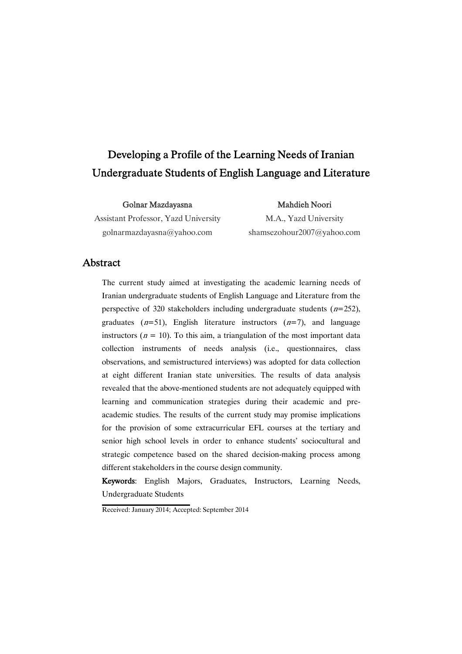# Developing a Profile of the Learning Needs of Iranian Undergraduate Students of English Language and Literature

Golnar Mazdayasna

Assistant Professor, Yazd University golnarmazdayasna@yahoo.com

Mahdieh Noori M.A., Yazd University shamsezohour2007@yahoo.com

## **Abstract**

The current study aimed at investigating the academic learning needs of Iranian undergraduate students of English Language and Literature from the perspective of 320 stakeholders including undergraduate students  $(n=252)$ , graduates  $(n=51)$ , English literature instructors  $(n=7)$ , and language instructors ( $n = 10$ ). To this aim, a triangulation of the most important data collection instruments of needs analysis (i.e., questionnaires, class observations, and semistructured interviews) was adopted for data collection at eight different Iranian state universities. The results of data analysis revealed that the above-mentioned students are not adequately equipped with learning and communication strategies during their academic and preacademic studies. The results of the current study may promise implications for the provision of some extracurricular EFL courses at the tertiary and senior high school levels in order to enhance students' sociocultural and strategic competence based on the shared decision-making process among different stakeholders in the course design community.

Keywords: English Majors, Graduates, Instructors, Learning Needs, Undergraduate Students

Received: January 2014; Accepted: September 2014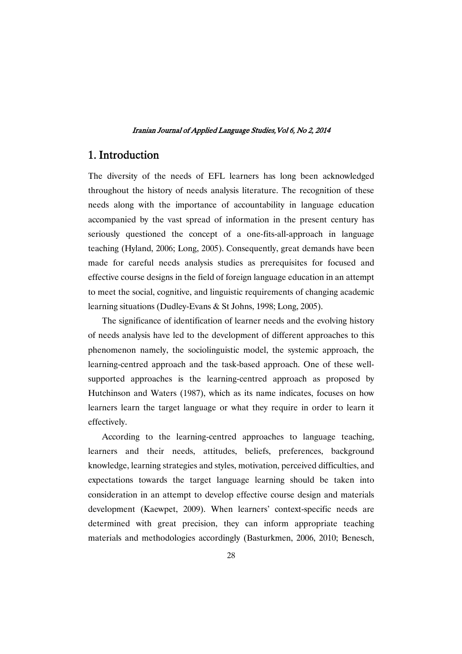## 1. Introduction

The diversity of the needs of EFL learners has long been acknowledged throughout the history of needs analysis literature. The recognition of these needs along with the importance of accountability in language education accompanied by the vast spread of information in the present century has seriously questioned the concept of a one-fits-all-approach in language teaching (Hyland, 2006; Long, 2005). Consequently, great demands have been made for careful needs analysis studies as prerequisites for focused and effective course designs in the field of foreign language education in an attempt to meet the social, cognitive, and linguistic requirements of changing academic learning situations (Dudley-Evans & St Johns, 1998; Long, 2005).

The significance of identification of learner needs and the evolving history of needs analysis have led to the development of different approaches to this phenomenon namely, the sociolinguistic model, the systemic approach, the learning-centred approach and the task-based approach. One of these wellsupported approaches is the learning-centred approach as proposed by Hutchinson and Waters (1987), which as its name indicates, focuses on how learners learn the target language or what they require in order to learn it effectively.

According to the learning-centred approaches to language teaching, learners and their needs, attitudes, beliefs, preferences, background knowledge, learning strategies and styles, motivation, perceived difficulties, and expectations towards the target language learning should be taken into consideration in an attempt to develop effective course design and materials development (Kaewpet, 2009). When learners' context-specific needs are determined with great precision, they can inform appropriate teaching materials and methodologies accordingly (Basturkmen, 2006, 2010; Benesch,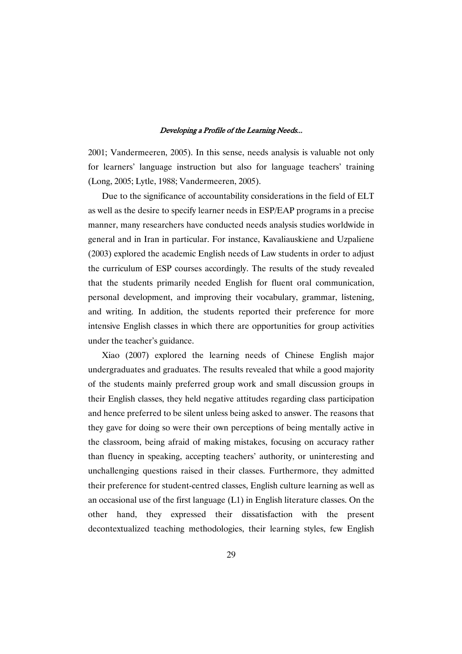2001; Vandermeeren, 2005). In this sense, needs analysis is valuable not only for learners' language instruction but also for language teachers' training (Long, 2005; Lytle, 1988; Vandermeeren, 2005).

Due to the significance of accountability considerations in the field of ELT as well as the desire to specify learner needs in ESP/EAP programs in a precise manner, many researchers have conducted needs analysis studies worldwide in general and in Iran in particular. For instance, Kavaliauskiene and Uzpaliene (2003) explored the academic English needs of Law students in order to adjust the curriculum of ESP courses accordingly. The results of the study revealed that the students primarily needed English for fluent oral communication, personal development, and improving their vocabulary, grammar, listening, and writing. In addition, the students reported their preference for more intensive English classes in which there are opportunities for group activities under the teacher's guidance.

Xiao (2007) explored the learning needs of Chinese English major undergraduates and graduates. The results revealed that while a good majority of the students mainly preferred group work and small discussion groups in their English classes, they held negative attitudes regarding class participation and hence preferred to be silent unless being asked to answer. The reasons that they gave for doing so were their own perceptions of being mentally active in the classroom, being afraid of making mistakes, focusing on accuracy rather than fluency in speaking, accepting teachers' authority, or uninteresting and unchallenging questions raised in their classes. Furthermore, they admitted their preference for student-centred classes, English culture learning as well as an occasional use of the first language (L1) in English literature classes. On the other hand, they expressed their dissatisfaction with the present decontextualized teaching methodologies, their learning styles, few English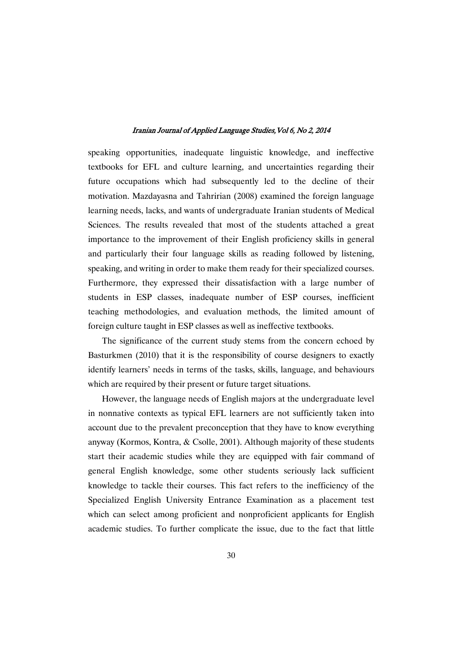speaking opportunities, inadequate linguistic knowledge, and ineffective textbooks for EFL and culture learning, and uncertainties regarding their future occupations which had subsequently led to the decline of their motivation. Mazdayasna and Tahririan (2008) examined the foreign language learning needs, lacks, and wants of undergraduate Iranian students of Medical Sciences. The results revealed that most of the students attached a great importance to the improvement of their English proficiency skills in general and particularly their four language skills as reading followed by listening, speaking, and writing in order to make them ready for their specialized courses. Furthermore, they expressed their dissatisfaction with a large number of students in ESP classes, inadequate number of ESP courses, inefficient teaching methodologies, and evaluation methods, the limited amount of foreign culture taught in ESP classes as well as ineffective textbooks.

The significance of the current study stems from the concern echoed by Basturkmen (2010) that it is the responsibility of course designers to exactly identify learners' needs in terms of the tasks, skills, language, and behaviours which are required by their present or future target situations.

However, the language needs of English majors at the undergraduate level in nonnative contexts as typical EFL learners are not sufficiently taken into account due to the prevalent preconception that they have to know everything anyway (Kormos, Kontra, & Csolle, 2001). Although majority of these students start their academic studies while they are equipped with fair command of general English knowledge, some other students seriously lack sufficient knowledge to tackle their courses. This fact refers to the inefficiency of the Specialized English University Entrance Examination as a placement test which can select among proficient and nonproficient applicants for English academic studies. To further complicate the issue, due to the fact that little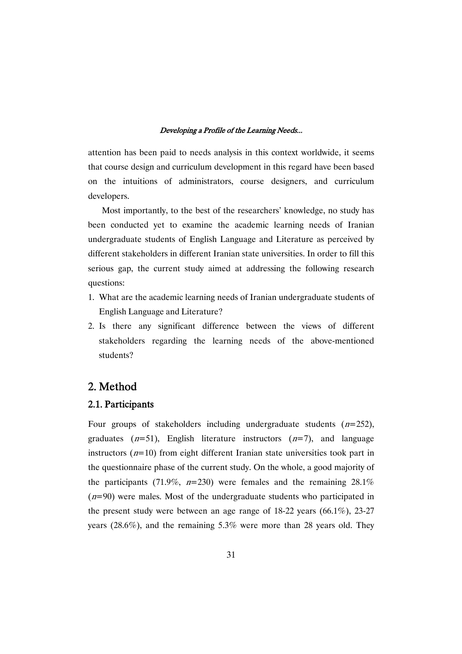attention has been paid to needs analysis in this context worldwide, it seems that course design and curriculum development in this regard have been based on the intuitions of administrators, course designers, and curriculum developers.

Most importantly, to the best of the researchers' knowledge, no study has been conducted yet to examine the academic learning needs of Iranian undergraduate students of English Language and Literature as perceived by different stakeholders in different Iranian state universities. In order to fill this serious gap, the current study aimed at addressing the following research questions:

- 1. What are the academic learning needs of Iranian undergraduate students of English Language and Literature?
- 2. Is there any significant difference between the views of different stakeholders regarding the learning needs of the above-mentioned students?

## 2. Method

## 2.1. Participants

Four groups of stakeholders including undergraduate students  $(n=252)$ , graduates  $(n=51)$ , English literature instructors  $(n=7)$ , and language instructors  $(n=10)$  from eight different Iranian state universities took part in the questionnaire phase of the current study. On the whole, a good majority of the participants (71.9%,  $n=230$ ) were females and the remaining 28.1%  $(n=90)$  were males. Most of the undergraduate students who participated in the present study were between an age range of  $18-22$  years  $(66.1\%)$ ,  $23-27$ years (28.6%), and the remaining 5.3% were more than 28 years old. They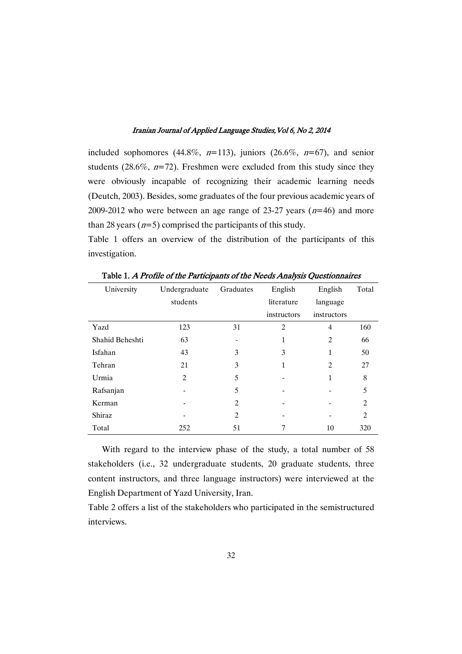included sophomores (44.8%,  $n=113$ ), juniors (26.6%,  $n=67$ ), and senior students (28.6%,  $n=72$ ). Freshmen were excluded from this study since they were obviously incapable of recognizing their academic learning needs (Deutch, 2003). Besides, some graduates of the four previous academic years of 2009-2012 who were between an age range of 23-27 years  $(n=46)$  and more than 28 years  $(n=5)$  comprised the participants of this study.

Table 1 offers an overview of the distribution of the participants of this investigation.

| University      | Undergraduate  | Graduates      | English        | English        | Total          |
|-----------------|----------------|----------------|----------------|----------------|----------------|
|                 | students       |                | literature     | language       |                |
|                 |                |                | instructors    | instructors    |                |
| Yazd            | 123            | 31             | $\overline{c}$ | $\overline{4}$ | 160            |
| Shahid Beheshti | 63             |                | 1              | 2              | 66             |
| Isfahan         | 43             | 3              | 3              | 1              | 50             |
| Tehran          | 21             | 3              | 1              | $\overline{c}$ | 27             |
| Urmia           | $\overline{c}$ | 5              |                | 1              | 8              |
| Rafsanjan       |                | 5              |                |                | 5              |
| Kerman          |                | $\overline{c}$ |                |                | $\overline{c}$ |
| Shiraz          |                | 2              |                |                | $\overline{2}$ |
| Total           | 252            | 51             | 7              | 10             | 320            |

Table 1. A Profile of the Participants of the Needs Analysis Questionnaires

With regard to the interview phase of the study, a total number of 58 stakeholders (i.e., 32 undergraduate students, 20 graduate students, three content instructors, and three language instructors) were interviewed at the English Department of Yazd University, Iran.

Table 2 offers a list of the stakeholders who participated in the semistructured interviews.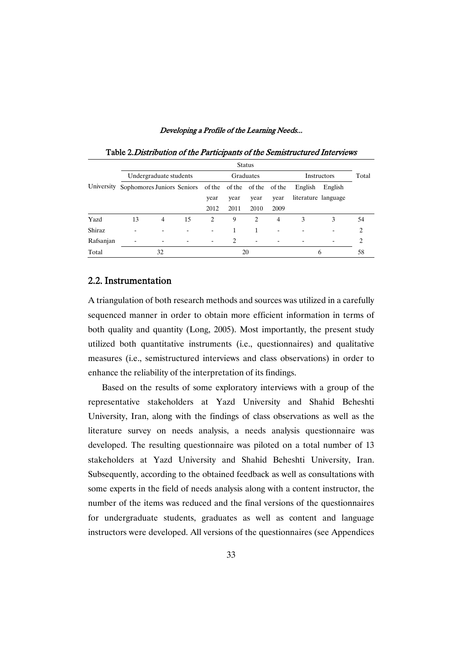|            | <b>Status</b>                                          |                |    |                               |      |                |                    |         |                          |    |
|------------|--------------------------------------------------------|----------------|----|-------------------------------|------|----------------|--------------------|---------|--------------------------|----|
|            | Undergraduate students                                 |                |    | Graduates                     |      |                | <b>Instructors</b> |         | Total                    |    |
| University | Sophomores Juniors Seniors of the of the of the of the |                |    |                               |      |                |                    | English | English                  |    |
|            |                                                        |                |    | year                          | year | year           | year               |         | literature language      |    |
|            |                                                        |                |    | 2012                          | 2011 | 2010           | 2009               |         |                          |    |
| Yazd       | 13                                                     | $\overline{4}$ | 15 | $\mathfrak{D}_{\mathfrak{p}}$ | 9    | $\overline{c}$ | $\overline{4}$     | 3       | 3                        | 54 |
| Shiraz     | ۰                                                      |                |    |                               |      | 1              |                    |         | $\overline{\phantom{a}}$ | 2  |
| Rafsanjan  | $\overline{\phantom{0}}$                               |                | ۰  | $\overline{\phantom{a}}$      | 2    | ۰              |                    | -       | $\overline{\phantom{a}}$ | 2  |
| Total      |                                                        | 32             |    |                               |      | 20             |                    |         | 6                        | 58 |

Table 2. Distribution of the Participants of the Semistructured Interviews

### 2.2. Instrumentation�

A triangulation of both research methods and sources was utilized in a carefully sequenced manner in order to obtain more efficient information in terms of both quality and quantity (Long, 2005). Most importantly, the present study utilized both quantitative instruments (i.e., questionnaires) and qualitative measures (i.e., semistructured interviews and class observations) in order to enhance the reliability of the interpretation of its findings.

Based on the results of some exploratory interviews with a group of the representative stakeholders at Yazd University and Shahid Beheshti University, Iran, along with the findings of class observations as well as the literature survey on needs analysis, a needs analysis questionnaire was developed. The resulting questionnaire was piloted on a total number of 13 stakeholders at Yazd University and Shahid Beheshti University, Iran. Subsequently, according to the obtained feedback as well as consultations with some experts in the field of needs analysis along with a content instructor, the number of the items was reduced and the final versions of the questionnaires for undergraduate students, graduates as well as content and language instructors were developed. All versions of the questionnaires (see Appendices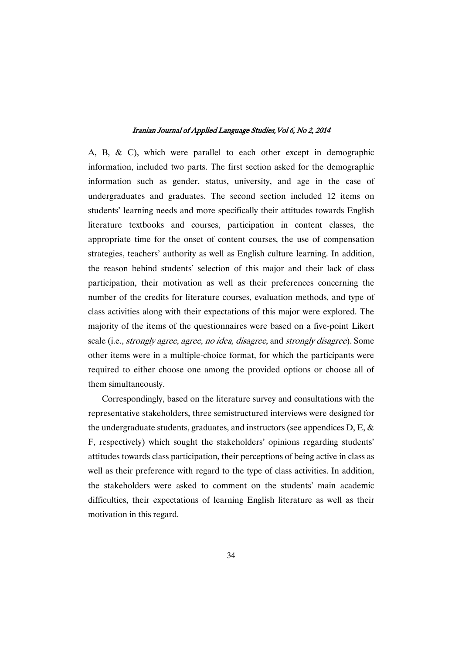A, B, & C), which were parallel to each other except in demographic information, included two parts. The first section asked for the demographic information such as gender, status, university, and age in the case of undergraduates and graduates. The second section included 12 items on students' learning needs and more specifically their attitudes towards English literature textbooks and courses, participation in content classes, the appropriate time for the onset of content courses, the use of compensation strategies, teachers' authority as well as English culture learning. In addition, the reason behind students' selection of this major and their lack of class participation, their motivation as well as their preferences concerning the number of the credits for literature courses, evaluation methods, and type of class activities along with their expectations of this major were explored. The majority of the items of the questionnaires were based on a five-point Likert scale (i.e., strongly agree, agree, no idea, disagree, and strongly disagree). Some other items were in a multiple-choice format, for which the participants were required to either choose one among the provided options or choose all of them simultaneously.

Correspondingly, based on the literature survey and consultations with the representative stakeholders, three semistructured interviews were designed for the undergraduate students, graduates, and instructors (see appendices D, E, & F, respectively) which sought the stakeholders' opinions regarding students' attitudes towards class participation, their perceptions of being active in class as well as their preference with regard to the type of class activities. In addition, the stakeholders were asked to comment on the students' main academic difficulties, their expectations of learning English literature as well as their motivation in this regard.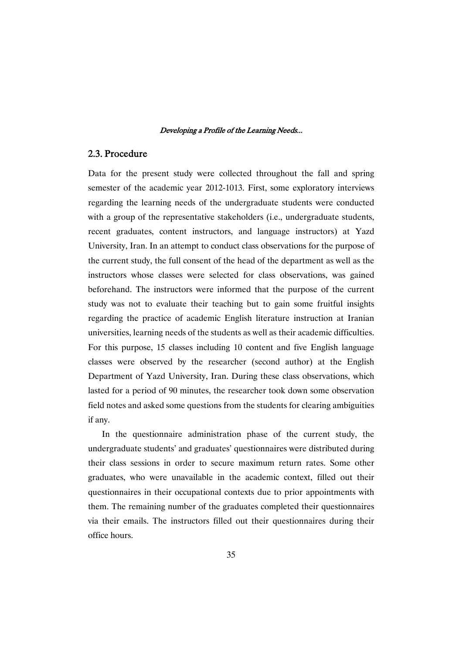## 2.3. Procedure

Data for the present study were collected throughout the fall and spring semester of the academic year 2012-1013. First, some exploratory interviews regarding the learning needs of the undergraduate students were conducted with a group of the representative stakeholders (i.e., undergraduate students, recent graduates, content instructors, and language instructors) at Yazd University, Iran. In an attempt to conduct class observations for the purpose of the current study, the full consent of the head of the department as well as the instructors whose classes were selected for class observations, was gained beforehand. The instructors were informed that the purpose of the current study was not to evaluate their teaching but to gain some fruitful insights regarding the practice of academic English literature instruction at Iranian universities, learning needs of the students as well as their academic difficulties. For this purpose, 15 classes including 10 content and five English language classes were observed by the researcher (second author) at the English Department of Yazd University, Iran. During these class observations, which lasted for a period of 90 minutes, the researcher took down some observation field notes and asked some questions from the students for clearing ambiguities if any.

In the questionnaire administration phase of the current study, the undergraduate students' and graduates' questionnaires were distributed during their class sessions in order to secure maximum return rates. Some other graduates, who were unavailable in the academic context, filled out their questionnaires in their occupational contexts due to prior appointments with them. The remaining number of the graduates completed their questionnaires via their emails. The instructors filled out their questionnaires during their office hours.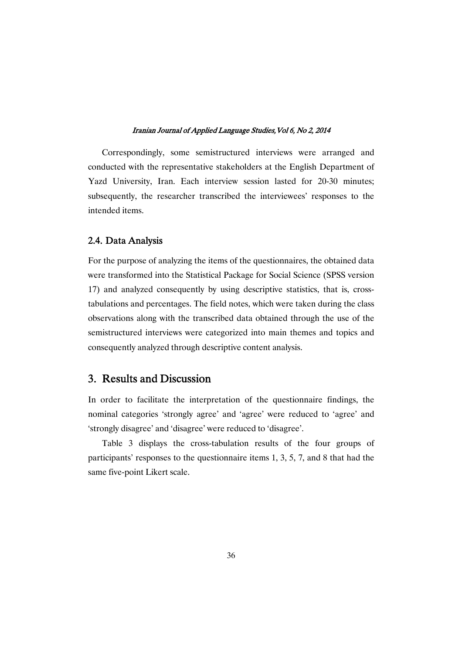Correspondingly, some semistructured interviews were arranged and conducted with the representative stakeholders at the English Department of Yazd University, Iran. Each interview session lasted for 20-30 minutes; subsequently, the researcher transcribed the interviewees' responses to the intended items.

## 2.4. Data Analysis

For the purpose of analyzing the items of the questionnaires, the obtained data were transformed into the Statistical Package for Social Science (SPSS version 17) and analyzed consequently by using descriptive statistics, that is, crosstabulations and percentages. The field notes, which were taken during the class observations along with the transcribed data obtained through the use of the semistructured interviews were categorized into main themes and topics and consequently analyzed through descriptive content analysis.

## 3. Results and Discussion

In order to facilitate the interpretation of the questionnaire findings, the nominal categories 'strongly agree' and 'agree' were reduced to 'agree' and 'strongly disagree' and 'disagree' were reduced to 'disagree'.

Table 3 displays the cross-tabulation results of the four groups of participants' responses to the questionnaire items 1, 3, 5, 7, and 8 that had the same five-point Likert scale.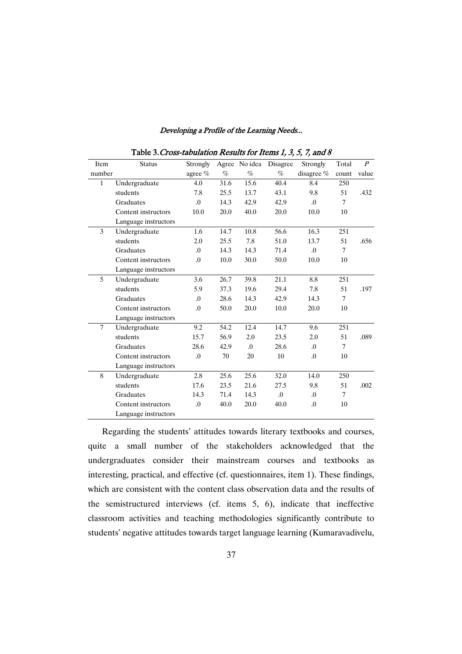| Table 3. Cross-tabulation Results for Items 1, 3, 5, 7, and 8 |                      |                  |      |            |                        |                  |        |                  |
|---------------------------------------------------------------|----------------------|------------------|------|------------|------------------------|------------------|--------|------------------|
| Item                                                          | <b>Status</b>        | Strongly         |      |            | Agree No idea Disagree | Strongly         | Total  | $\boldsymbol{P}$ |
| number                                                        |                      | agree %          | $\%$ | $\%$       | $\%$                   | disagree %       | count  | value            |
| $\mathbf{1}$                                                  | Undergraduate        | 4.0              | 31.6 | 15.6       | 40.4                   | 8.4              | 250    |                  |
|                                                               | students             | 7.8              | 25.5 | 13.7       | 43.1                   | 9.8              | 51     | .432             |
|                                                               | Graduates            | $\Omega$ .       | 14.3 | 42.9       | 42.9                   | $\Omega$         | 7      |                  |
|                                                               | Content instructors  | 10.0             | 20.0 | 40.0       | 20.0                   | 10.0             | 10     |                  |
|                                                               | Language instructors |                  |      |            |                        |                  |        |                  |
| 3                                                             | Undergraduate        | 1.6              | 14.7 | 10.8       | 56.6                   | 16.3             | 251    |                  |
|                                                               | students             | 2.0              | 25.5 | 7.8        | 51.0                   | 13.7             | 51     | .656             |
|                                                               | Graduates            | $\Omega$         | 14.3 | 14.3       | 71.4                   | $\Omega$         | 7      |                  |
|                                                               | Content instructors  | .0               | 10.0 | 30.0       | 50.0                   | 10.0             | 10     |                  |
|                                                               | Language instructors |                  |      |            |                        |                  |        |                  |
| 5                                                             | Undergraduate        | 3.6              | 26.7 | 39.8       | 21.1                   | 8.8              | 251    |                  |
|                                                               | students             | 5.9              | 37.3 | 19.6       | 29.4                   | 7.8              | 51     | .197             |
|                                                               | Graduates            | 0.               | 28.6 | 14.3       | 42.9                   | 14.3             | $\tau$ |                  |
|                                                               | Content instructors  | .0               | 50.0 | 20.0       | 10.0                   | 20.0             | 10     |                  |
|                                                               | Language instructors |                  |      |            |                        |                  |        |                  |
| $\tau$                                                        | Undergraduate        | 9.2              | 54.2 | 12.4       | 14.7                   | 9.6              | 251    |                  |
|                                                               | students             | 15.7             | 56.9 | 2.0        | 23.5                   | 2.0              | 51     | .089             |
|                                                               | Graduates            | 28.6             | 42.9 | $\Omega$ . | 28.6                   | $\Omega$         | 7      |                  |
|                                                               | Content instructors  | $\overline{0}$ . | 70   | 20         | 10                     | $\overline{0}$ . | 10     |                  |
|                                                               | Language instructors |                  |      |            |                        |                  |        |                  |
| 8                                                             | Undergraduate        | 2.8              | 25.6 | 25.6       | 32.0                   | 14.0             | 250    |                  |
|                                                               | students             | 17.6             | 23.5 | 21.6       | 27.5                   | 9.8              | 51     | .002             |
|                                                               | Graduates            | 14.3             | 71.4 | 14.3       | $\Omega$ .             | $\Omega$ .       | 7      |                  |
|                                                               | Content instructors  | .0               | 40.0 | 20.0       | 40.0                   | .0               | 10     |                  |
|                                                               | Language instructors |                  |      |            |                        |                  |        |                  |

Regarding the students' attitudes towards literary textbooks and courses, quite a small number of the stakeholders acknowledged that the undergraduates consider their mainstream courses and textbooks as interesting, practical, and effective (cf. questionnaires, item 1). These findings, which are consistent with the content class observation data and the results of the semistructured interviews (cf. items 5, 6), indicate that ineffective classroom activities and teaching methodologies significantly contribute to students' negative attitudes towards target language learning (Kumaravadivelu,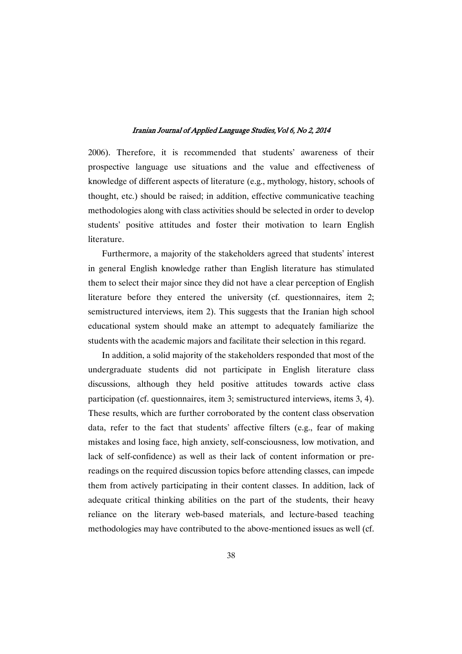2006). Therefore, it is recommended that students' awareness of their prospective language use situations and the value and effectiveness of knowledge of different aspects of literature (e.g., mythology, history, schools of thought, etc.) should be raised; in addition, effective communicative teaching methodologies along with class activities should be selected in order to develop students' positive attitudes and foster their motivation to learn English literature.

Furthermore, a majority of the stakeholders agreed that students' interest in general English knowledge rather than English literature has stimulated them to select their major since they did not have a clear perception of English literature before they entered the university (cf. questionnaires, item 2; semistructured interviews, item 2). This suggests that the Iranian high school educational system should make an attempt to adequately familiarize the students with the academic majors and facilitate their selection in this regard.

In addition, a solid majority of the stakeholders responded that most of the undergraduate students did not participate in English literature class discussions, although they held positive attitudes towards active class participation (cf. questionnaires, item 3; semistructured interviews, items 3, 4). These results, which are further corroborated by the content class observation data, refer to the fact that students' affective filters (e.g., fear of making mistakes and losing face, high anxiety, self-consciousness, low motivation, and lack of self-confidence) as well as their lack of content information or prereadings on the required discussion topics before attending classes, can impede them from actively participating in their content classes. In addition, lack of adequate critical thinking abilities on the part of the students, their heavy reliance on the literary web-based materials, and lecture-based teaching methodologies may have contributed to the above-mentioned issues as well (cf.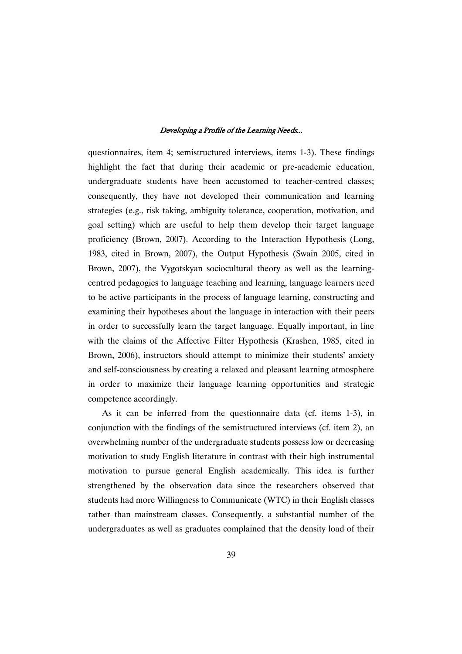questionnaires, item 4; semistructured interviews, items 1-3). These findings highlight the fact that during their academic or pre-academic education, undergraduate students have been accustomed to teacher-centred classes; consequently, they have not developed their communication and learning strategies (e.g., risk taking, ambiguity tolerance, cooperation, motivation, and goal setting) which are useful to help them develop their target language proficiency (Brown, 2007). According to the Interaction Hypothesis (Long, 1983, cited in Brown, 2007), the Output Hypothesis (Swain 2005, cited in Brown, 2007), the Vygotskyan sociocultural theory as well as the learningcentred pedagogies to language teaching and learning, language learners need to be active participants in the process of language learning, constructing and examining their hypotheses about the language in interaction with their peers in order to successfully learn the target language. Equally important, in line with the claims of the Affective Filter Hypothesis (Krashen, 1985, cited in Brown, 2006), instructors should attempt to minimize their students' anxiety and self-consciousness by creating a relaxed and pleasant learning atmosphere in order to maximize their language learning opportunities and strategic competence accordingly.

As it can be inferred from the questionnaire data (cf. items 1-3), in conjunction with the findings of the semistructured interviews (cf. item 2), an overwhelming number of the undergraduate students possess low or decreasing motivation to study English literature in contrast with their high instrumental motivation to pursue general English academically. This idea is further strengthened by the observation data since the researchers observed that students had more Willingness to Communicate (WTC) in their English classes rather than mainstream classes. Consequently, a substantial number of the undergraduates as well as graduates complained that the density load of their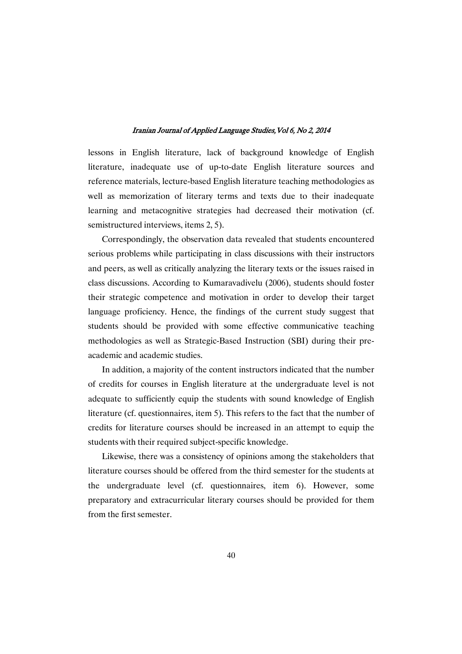lessons in English literature, lack of background knowledge of English literature, inadequate use of up-to-date English literature sources and reference materials, lecture-based English literature teaching methodologies as well as memorization of literary terms and texts due to their inadequate learning and metacognitive strategies had decreased their motivation (cf. semistructured interviews, items 2, 5).

Correspondingly, the observation data revealed that students encountered serious problems while participating in class discussions with their instructors and peers, as well as critically analyzing the literary texts or the issues raised in class discussions. According to Kumaravadivelu (2006), students should foster their strategic competence and motivation in order to develop their target language proficiency. Hence, the findings of the current study suggest that students should be provided with some effective communicative teaching methodologies as well as Strategic-Based Instruction (SBI) during their preacademic and academic studies.

In addition, a majority of the content instructors indicated that the number of credits for courses in English literature at the undergraduate level is not adequate to sufficiently equip the students with sound knowledge of English literature (cf. questionnaires, item 5). This refers to the fact that the number of credits for literature courses should be increased in an attempt to equip the students with their required subject-specific knowledge.

Likewise, there was a consistency of opinions among the stakeholders that literature courses should be offered from the third semester for the students at the undergraduate level (cf. questionnaires, item 6). However, some preparatory and extracurricular literary courses should be provided for them from the first semester.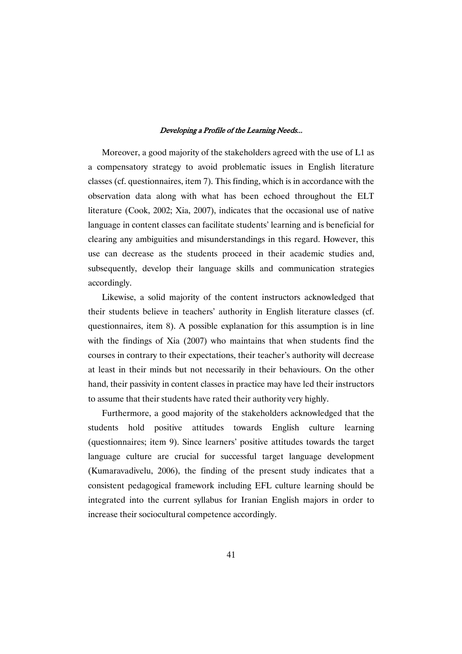Moreover, a good majority of the stakeholders agreed with the use of L1 as a compensatory strategy to avoid problematic issues in English literature classes (cf. questionnaires, item 7). This finding, which is in accordance with the observation data along with what has been echoed throughout the ELT literature (Cook, 2002; Xia, 2007), indicates that the occasional use of native language in content classes can facilitate students' learning and is beneficial for clearing any ambiguities and misunderstandings in this regard. However, this use can decrease as the students proceed in their academic studies and, subsequently, develop their language skills and communication strategies accordingly.

Likewise, a solid majority of the content instructors acknowledged that their students believe in teachers' authority in English literature classes (cf. questionnaires, item 8). A possible explanation for this assumption is in line with the findings of Xia (2007) who maintains that when students find the courses in contrary to their expectations, their teacher's authority will decrease at least in their minds but not necessarily in their behaviours. On the other hand, their passivity in content classes in practice may have led their instructors to assume that their students have rated their authority very highly.

Furthermore, a good majority of the stakeholders acknowledged that the students hold positive attitudes towards English culture learning (questionnaires; item 9). Since learners' positive attitudes towards the target language culture are crucial for successful target language development (Kumaravadivelu, 2006), the finding of the present study indicates that a consistent pedagogical framework including EFL culture learning should be integrated into the current syllabus for Iranian English majors in order to increase their sociocultural competence accordingly.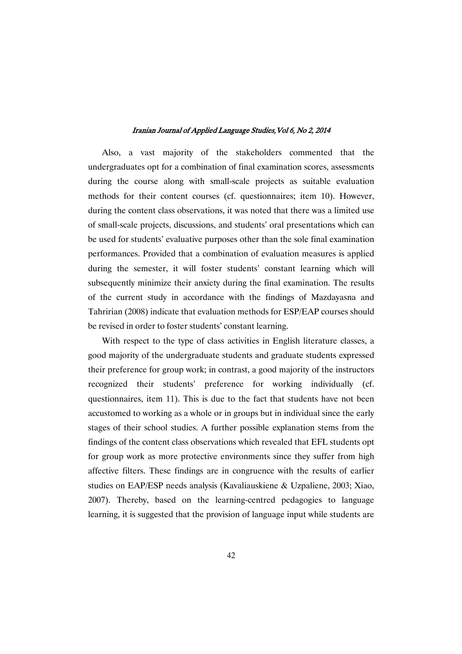Also, a vast majority of the stakeholders commented that the undergraduates opt for a combination of final examination scores, assessments during the course along with small-scale projects as suitable evaluation methods for their content courses (cf. questionnaires; item 10). However, during the content class observations, it was noted that there was a limited use of small-scale projects, discussions, and students' oral presentations which can be used for students' evaluative purposes other than the sole final examination performances. Provided that a combination of evaluation measures is applied during the semester, it will foster students' constant learning which will subsequently minimize their anxiety during the final examination. The results of the current study in accordance with the findings of Mazdayasna and Tahririan (2008) indicate that evaluation methods for ESP/EAP courses should be revised in order to foster students' constant learning.

With respect to the type of class activities in English literature classes, a good majority of the undergraduate students and graduate students expressed their preference for group work; in contrast, a good majority of the instructors recognized their students' preference for working individually (cf. questionnaires, item 11). This is due to the fact that students have not been accustomed to working as a whole or in groups but in individual since the early stages of their school studies. A further possible explanation stems from the findings of the content class observations which revealed that EFL students opt for group work as more protective environments since they suffer from high affective filters. These findings are in congruence with the results of earlier studies on EAP/ESP needs analysis (Kavaliauskiene & Uzpaliene, 2003; Xiao, 2007). Thereby, based on the learning-centred pedagogies to language learning, it is suggested that the provision of language input while students are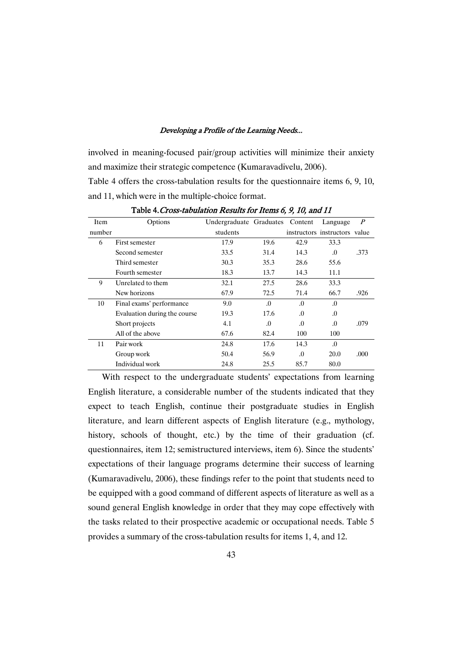involved in meaning-focused pair/group activities will minimize their anxiety and maximize their strategic competence (Kumaravadivelu, 2006). Table 4 offers the cross-tabulation results for the questionnaire items 6, 9, 10, and 11, which were in the multiple-choice format.

| Item   | Options                      | Undergraduate Graduates Content |          |          | Language                      | $\boldsymbol{P}$ |
|--------|------------------------------|---------------------------------|----------|----------|-------------------------------|------------------|
| number |                              | students                        |          |          | instructors instructors value |                  |
| 6      | First semester               | 17.9                            | 19.6     | 42.9     | 33.3                          |                  |
|        | Second semester              | 33.5                            | 31.4     | 14.3     | $\Omega$                      | .373             |
|        | Third semester               | 30.3                            | 35.3     | 28.6     | 55.6                          |                  |
|        | Fourth semester              | 18.3                            | 13.7     | 14.3     | 11.1                          |                  |
| 9      | Unrelated to them            | 32.1                            | 27.5     | 28.6     | 33.3                          |                  |
|        | New horizons                 | 67.9                            | 72.5     | 71.4     | 66.7                          | .926             |
| 10     | Final exams' performance     | 9.0                             | $\Omega$ | $\Omega$ | $\Omega$                      |                  |
|        | Evaluation during the course | 19.3                            | 17.6     | $\Omega$ | .0                            |                  |
|        | Short projects               | 4.1                             | $\Omega$ | $\Omega$ | $\Omega$                      | .079             |
|        | All of the above             | 67.6                            | 82.4     | 100      | 100                           |                  |
| 11     | Pair work                    | 24.8                            | 17.6     | 14.3     | $\Omega$                      |                  |
|        | Group work                   | 50.4                            | 56.9     | $\Omega$ | 20.0                          | .000             |
|        | Individual work              | 24.8                            | 25.5     | 85.7     | 80.0                          |                  |

Table 4. Cross-tabulation Results for Items 6, 9, 10, and 11

With respect to the undergraduate students' expectations from learning English literature, a considerable number of the students indicated that they expect to teach English, continue their postgraduate studies in English literature, and learn different aspects of English literature (e.g., mythology, history, schools of thought, etc.) by the time of their graduation (cf. questionnaires, item 12; semistructured interviews, item 6). Since the students' expectations of their language programs determine their success of learning (Kumaravadivelu, 2006), these findings refer to the point that students need to be equipped with a good command of different aspects of literature as well as a sound general English knowledge in order that they may cope effectively with the tasks related to their prospective academic or occupational needs. Table 5 provides a summary of the cross-tabulation results for items 1, 4, and 12.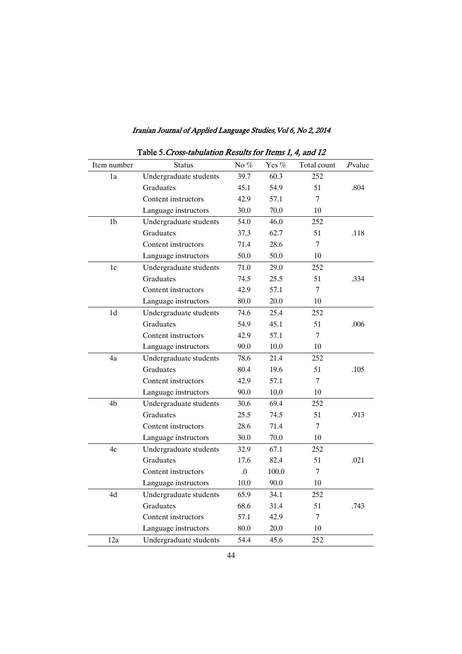| Table 5. Cross-tabulation Results for Items 1, 4, and 12 |                        |                  |       |             |        |  |  |
|----------------------------------------------------------|------------------------|------------------|-------|-------------|--------|--|--|
| Item number                                              | <b>Status</b>          | No $\%$          | Yes % | Total count | Pvalue |  |  |
| 1a                                                       | Undergraduate students | 39.7             | 60.3  | 252         |        |  |  |
|                                                          | Graduates              | 45.1             | 54.9  | 51          | .804   |  |  |
|                                                          | Content instructors    | 42.9             | 57.1  | 7           |        |  |  |
|                                                          | Language instructors   | 30.0             | 70.0  | 10          |        |  |  |
| 1 <sub>b</sub>                                           | Undergraduate students | 54.0             | 46.0  | 252         |        |  |  |
|                                                          | Graduates              | 37.3             | 62.7  | 51          | .118   |  |  |
|                                                          | Content instructors    | 71.4             | 28.6  | 7           |        |  |  |
|                                                          | Language instructors   | 50.0             | 50.0  | 10          |        |  |  |
| 1c                                                       | Undergraduate students | 71.0             | 29.0  | 252         |        |  |  |
|                                                          | Graduates              | 74.5             | 25.5  | 51          | .334   |  |  |
|                                                          | Content instructors    | 42.9             | 57.1  | 7           |        |  |  |
|                                                          | Language instructors   | 80.0             | 20.0  | 10          |        |  |  |
| 1d                                                       | Undergraduate students | 74.6             | 25.4  | 252         |        |  |  |
|                                                          | Graduates              | 54.9             | 45.1  | 51          | .006   |  |  |
|                                                          | Content instructors    | 42.9             | 57.1  | 7           |        |  |  |
|                                                          | Language instructors   | 90.0             | 10.0  | 10          |        |  |  |
| 4a                                                       | Undergraduate students | 78.6             | 21.4  | 252         |        |  |  |
|                                                          | Graduates              | 80.4             | 19.6  | 51          | .105   |  |  |
|                                                          | Content instructors    | 42.9             | 57.1  | 7           |        |  |  |
|                                                          | Language instructors   | 90.0             | 10.0  | 10          |        |  |  |
| 4b                                                       | Undergraduate students | 30.6             | 69.4  | 252         |        |  |  |
|                                                          | Graduates              | 25.5             | 74.5  | 51          | .913   |  |  |
|                                                          | Content instructors    | 28.6             | 71.4  | 7           |        |  |  |
|                                                          | Language instructors   | 30.0             | 70.0  | 10          |        |  |  |
| 4c                                                       | Undergraduate students | 32.9             | 67.1  | 252         |        |  |  |
|                                                          | Graduates              | 17.6             | 82.4  | 51          | .021   |  |  |
|                                                          | Content instructors    | $\overline{0}$ . | 100.0 | 7           |        |  |  |
|                                                          | Language instructors   | 10.0             | 90.0  | 10          |        |  |  |
| 4d                                                       | Undergraduate students | 65.9             | 34.1  | 252         |        |  |  |
|                                                          | Graduates              | 68.6             | 31.4  | 51          | .743   |  |  |
|                                                          | Content instructors    | 57.1             | 42.9  | 7           |        |  |  |
|                                                          | Language instructors   | 80.0             | 20.0  | 10          |        |  |  |
| 12a                                                      | Undergraduate students | 54.4             | 45.6  | 252         |        |  |  |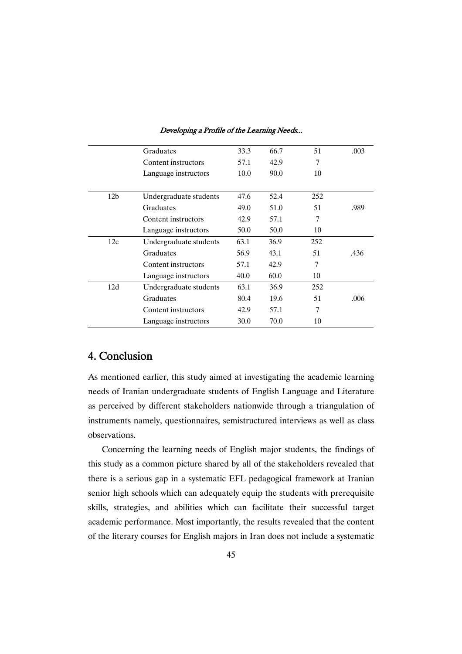|                 | Graduates              | 33.3 | 66.7 | 51  | .003 |
|-----------------|------------------------|------|------|-----|------|
|                 | Content instructors    | 57.1 | 42.9 | 7   |      |
|                 | Language instructors   | 10.0 | 90.0 | 10  |      |
|                 |                        |      |      |     |      |
| 12 <sub>b</sub> | Undergraduate students | 47.6 | 52.4 | 252 |      |
|                 | Graduates              | 49.0 | 51.0 | 51  | .989 |
|                 | Content instructors    | 42.9 | 57.1 | 7   |      |
|                 | Language instructors   | 50.0 | 50.0 | 10  |      |
| 12c             | Undergraduate students | 63.1 | 36.9 | 252 |      |
|                 | Graduates              | 56.9 | 43.1 | 51  | .436 |
|                 | Content instructors    | 57.1 | 42.9 | 7   |      |
|                 | Language instructors   | 40.0 | 60.0 | 10  |      |
| 12d             | Undergraduate students | 63.1 | 36.9 | 252 |      |
|                 | Graduates              | 80.4 | 19.6 | 51  | .006 |
|                 | Content instructors    | 42.9 | 57.1 | 7   |      |
|                 | Language instructors   | 30.0 | 70.0 | 10  |      |

## 4. Conclusion�

As mentioned earlier, this study aimed at investigating the academic learning needs of Iranian undergraduate students of English Language and Literature as perceived by different stakeholders nationwide through a triangulation of instruments namely, questionnaires, semistructured interviews as well as class observations.

Concerning the learning needs of English major students, the findings of this study as a common picture shared by all of the stakeholders revealed that there is a serious gap in a systematic EFL pedagogical framework at Iranian senior high schools which can adequately equip the students with prerequisite skills, strategies, and abilities which can facilitate their successful target academic performance. Most importantly, the results revealed that the content of the literary courses for English majors in Iran does not include a systematic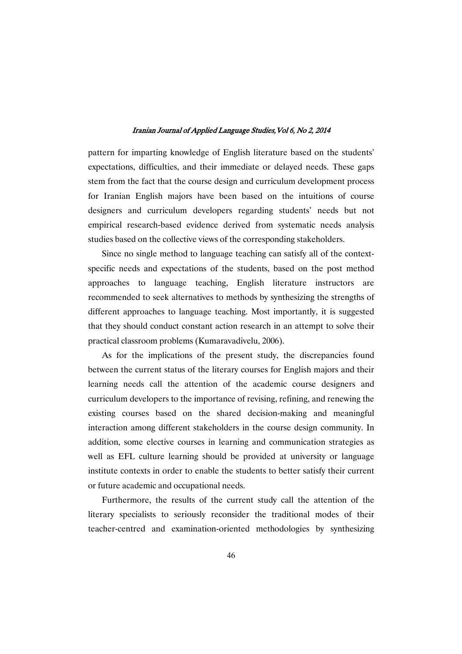pattern for imparting knowledge of English literature based on the students' expectations, difficulties, and their immediate or delayed needs. These gaps stem from the fact that the course design and curriculum development process for Iranian English majors have been based on the intuitions of course designers and curriculum developers regarding students' needs but not empirical research-based evidence derived from systematic needs analysis studies based on the collective views of the corresponding stakeholders.

Since no single method to language teaching can satisfy all of the contextspecific needs and expectations of the students, based on the post method approaches to language teaching, English literature instructors are recommended to seek alternatives to methods by synthesizing the strengths of different approaches to language teaching. Most importantly, it is suggested that they should conduct constant action research in an attempt to solve their practical classroom problems (Kumaravadivelu, 2006).

As for the implications of the present study, the discrepancies found between the current status of the literary courses for English majors and their learning needs call the attention of the academic course designers and curriculum developers to the importance of revising, refining, and renewing the existing courses based on the shared decision-making and meaningful interaction among different stakeholders in the course design community. In addition, some elective courses in learning and communication strategies as well as EFL culture learning should be provided at university or language institute contexts in order to enable the students to better satisfy their current or future academic and occupational needs.

Furthermore, the results of the current study call the attention of the literary specialists to seriously reconsider the traditional modes of their teacher-centred and examination-oriented methodologies by synthesizing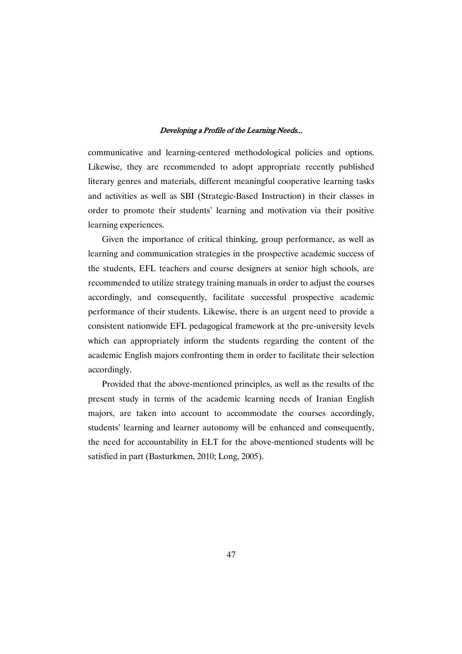communicative and learning-centered methodological policies and options. Likewise, they are recommended to adopt appropriate recently published literary genres and materials, different meaningful cooperative learning tasks and activities as well as SBI (Strategic-Based Instruction) in their classes in order to promote their students' learning and motivation via their positive learning experiences.

Given the importance of critical thinking, group performance, as well as learning and communication strategies in the prospective academic success of the students, EFL teachers and course designers at senior high schools, are recommended to utilize strategy training manuals in order to adjust the courses accordingly, and consequently, facilitate successful prospective academic performance of their students. Likewise, there is an urgent need to provide a consistent nationwide EFL pedagogical framework at the pre-university levels which can appropriately inform the students regarding the content of the academic English majors confronting them in order to facilitate their selection accordingly.

Provided that the above-mentioned principles, as well as the results of the present study in terms of the academic learning needs of Iranian English majors, are taken into account to accommodate the courses accordingly, students' learning and learner autonomy will be enhanced and consequently, the need for accountability in ELT for the above-mentioned students will be satisfied in part (Basturkmen, 2010; Long, 2005).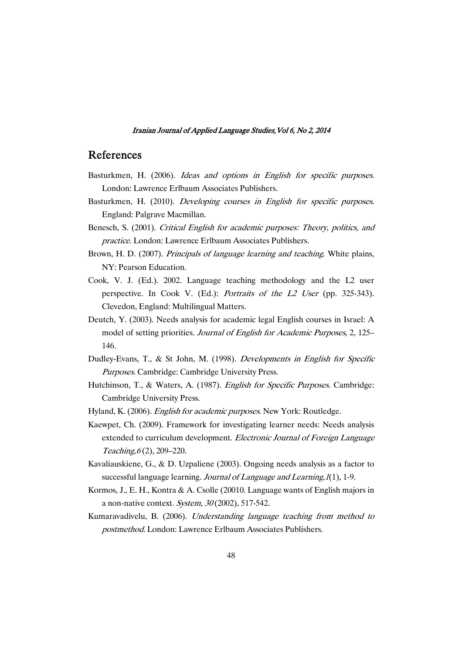## **References**

- Basturkmen, H. (2006). Ideas and options in English for specific purposes. London: Lawrence Erlbaum Associates Publishers.
- Basturkmen, H. (2010). Developing courses in English for specific purposes. England: Palgrave Macmillan.
- Benesch, S. (2001). Critical English for academic purposes: Theory, politics, and practice. London: Lawrence Erlbaum Associates Publishers.
- Brown, H. D. (2007). *Principals of language learning and teaching*. White plains, NY: Pearson Education.
- Cook, V. J. (Ed.). 2002. Language teaching methodology and the L2 user perspective. In Cook V. (Ed.): Portraits of the L2 User (pp. 325-343). Clevedon, England: Multilingual Matters.
- Deutch, Y. (2003). Needs analysis for academic legal English courses in Israel: A model of setting priorities. Journal of English for Academic Purposes, 2, 125– 146.
- Dudley-Evans, T., & St John, M. (1998). Developments in English for Specific Purposes. Cambridge: Cambridge University Press.
- Hutchinson, T., & Waters, A. (1987). *English for Specific Purposes*. Cambridge: Cambridge University Press.
- Hyland, K. (2006). English for academic purposes. New York: Routledge.
- Kaewpet, Ch. (2009). Framework for investigating learner needs: Needs analysis extended to curriculum development. Electronic Journal of Foreign Language Teaching,  $6(2)$ , 209–220.
- Kavaliauskiene, G., & D. Uzpaliene (2003). Ongoing needs analysis as a factor to successful language learning. Journal of Language and Learning, 1(1), 1-9.
- Kormos, J., E. H., Kontra & A. Csolle (20010. Language wants of English majors in a non-native context. System,  $30(2002)$ , 517-542.
- Kumaravadivelu, B. (2006). Understanding language teaching from method to postmethod. London: Lawrence Erlbaum Associates Publishers.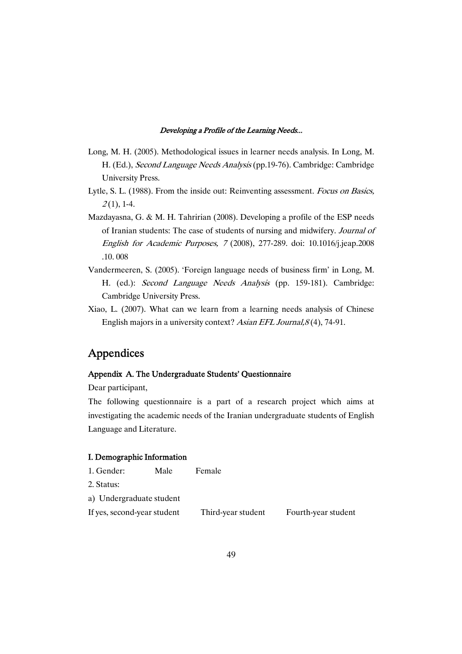- Long, M. H. (2005). Methodological issues in learner needs analysis. In Long, M. H. (Ed.), Second Language Needs Analysis (pp.19-76). Cambridge: Cambridge University Press.
- Lytle, S. L. (1988). From the inside out: Reinventing assessment. Focus on Basics,  $2(1)$ , 1-4.
- Mazdayasna, G. & M. H. Tahririan (2008). Developing a profile of the ESP needs of Iranian students: The case of students of nursing and midwifery. Journal of English for Academic Purposes, <sup>7</sup> (2008), 277-289. doi: 10.1016/j.jeap.2008 .10. 008
- Vandermeeren, S. (2005). 'Foreign language needs of business firm' in Long, M. H. (ed.): Second Language Needs Analysis (pp. 159-181). Cambridge: Cambridge University Press.
- Xiao, L. (2007). What can we learn from a learning needs analysis of Chinese English majors in a university context? Asian EFL Journal, 8(4), 74-91.

## **Appendices**

## Appendix A. The Undergraduate Students' Questionnaire

Dear participant,

The following questionnaire is a part of a research project which aims at investigating the academic needs of the Iranian undergraduate students of English Language and Literature.

#### I. Demographic Information

| 1. Gender:                  | Male | Female             |                     |
|-----------------------------|------|--------------------|---------------------|
| 2. Status:                  |      |                    |                     |
| a) Undergraduate student    |      |                    |                     |
| If yes, second-year student |      | Third-year student | Fourth-year student |
|                             |      |                    |                     |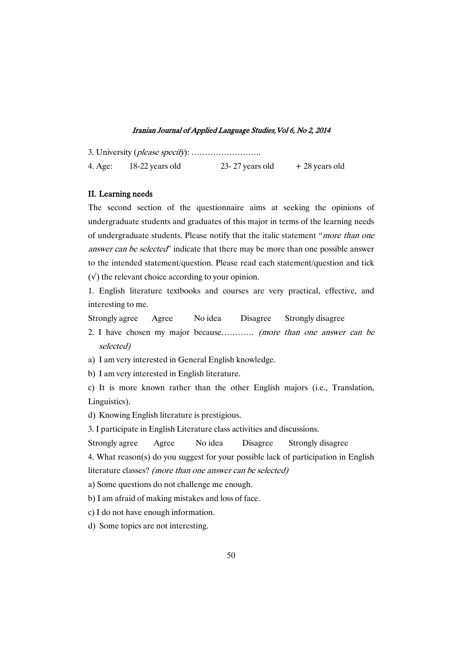3. University (please specify): …………………….. 4. Age:  $18-22$  years old  $23-27$  years old  $+28$  years old

### II. Learning needs

The second section of the questionnaire aims at seeking the opinions of undergraduate students and graduates of this major in terms of the learning needs of undergraduate students. Please notify that the italic statement "more than one answer can be selected" indicate that there may be more than one possible answer to the intended statement/question. Please read each statement/question and tick  $(v)$  the relevant choice according to your opinion.

1. English literature textbooks and courses are very practical, effective, and interesting to me.

Strongly agree Agree No idea Disagree Strongly disagree

- 2. I have chosen my major because………… (more than one answer can be selected)
- a) I am very interested in General English knowledge.

b) I am very interested in English literature.

c) It is more known rather than the other English majors (i.e., Translation, Linguistics).

d) Knowing English literature is prestigious.

3. I participate in English Literature class activities and discussions.

Strongly agree Agree No idea Disagree Strongly disagree

4. What reason(s) do you suggest for your possible lack of participation in English literature classes? (more than one answer can be selected)

a) Some questions do not challenge me enough.

b) I am afraid of making mistakes and loss of face.

c) I do not have enough information.

d) Some topics are not interesting.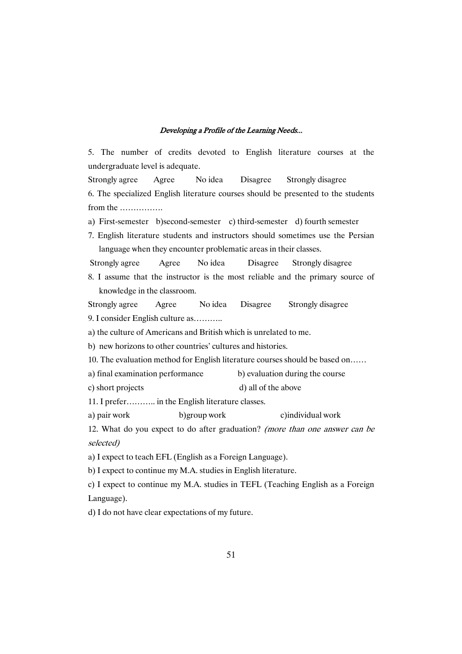5. The number of credits devoted to English literature courses at the undergraduate level is adequate.

Strongly agree Agree No idea Disagree Strongly disagree 6. The specialized English literature courses should be presented to the students from the …………….

a) First-semester b)second-semester c) third-semester d) fourth semester

7. English literature students and instructors should sometimes use the Persian language when they encounter problematic areas in their classes.

Strongly agree Agree No idea Disagree Strongly disagree

8. I assume that the instructor is the most reliable and the primary source of knowledge in the classroom.

Strongly agree Agree No idea Disagree Strongly disagree

9. I consider English culture as………..

a) the culture of Americans and British which is unrelated to me.

b) new horizons to other countries' cultures and histories.

- 10. The evaluation method for English literature courses should be based on……
- a) final examination performance b) evaluation during the course
- c) short projects d) all of the above

11. I prefer……….. in the English literature classes.

a) pair work b)group work c)individual work

12. What do you expect to do after graduation? (more than one answer can be selected)

a) I expect to teach EFL (English as a Foreign Language).

b) I expect to continue my M.A. studies in English literature.

c) I expect to continue my M.A. studies in TEFL (Teaching English as a Foreign Language).

d) I do not have clear expectations of my future.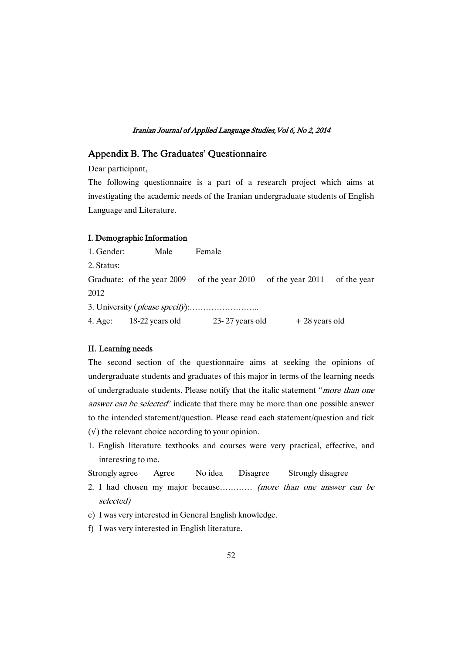## Appendix B. The Graduates' Questionnaire

Dear participant,

The following questionnaire is a part of a research project which aims at investigating the academic needs of the Iranian undergraduate students of English Language and Literature.

#### I. Demographic Information

1. Gender: Male Female 2. Status: Graduate: of the year 2009 of the year 2010 of the year 2011 of the year 2012 3. University (please specify):…………………….. 4. Age:  $18-22$  years old  $23-27$  years old  $+28$  years old

#### II. Learning needs

The second section of the questionnaire aims at seeking the opinions of undergraduate students and graduates of this major in terms of the learning needs of undergraduate students. Please notify that the italic statement "more than one answer can be selected" indicate that there may be more than one possible answer to the intended statement/question. Please read each statement/question and tick  $(v)$  the relevant choice according to your opinion.

1. English literature textbooks and courses were very practical, effective, and interesting to me.

| Strongly agree | Agree | No idea | Disagree | Strongly disagree |
|----------------|-------|---------|----------|-------------------|
|                |       |         |          |                   |

- 2. I had chosen my major because………… (more than one answer can be selected)
- e) I was very interested in General English knowledge.
- f) I was very interested in English literature.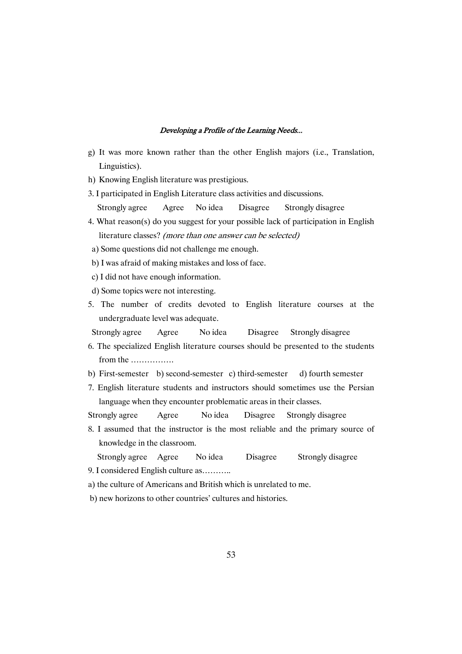- g) It was more known rather than the other English majors (i.e., Translation, Linguistics).
- h) Knowing English literature was prestigious.
- 3. I participated in English Literature class activities and discussions. Strongly agree Agree No idea Disagree Strongly disagree
- 4. What reason(s) do you suggest for your possible lack of participation in English literature classes? (more than one answer can be selected)
- a) Some questions did not challenge me enough.
- b) I was afraid of making mistakes and loss of face.
- c) I did not have enough information.
- d) Some topics were not interesting.
- 5. The number of credits devoted to English literature courses at the undergraduate level was adequate.
- Strongly agree Agree No idea Disagree Strongly disagree
- 6. The specialized English literature courses should be presented to the students from the …………….
- b) First-semester b) second-semester c) third-semester d) fourth semester
- 7. English literature students and instructors should sometimes use the Persian language when they encounter problematic areas in their classes.

Strongly agree Agree No idea Disagree Strongly disagree

- 8. I assumed that the instructor is the most reliable and the primary source of knowledge in the classroom.
- Strongly agree Agree No idea Disagree Strongly disagree
- 9. I considered English culture as………..
- a) the culture of Americans and British which is unrelated to me.
- b) new horizons to other countries' cultures and histories.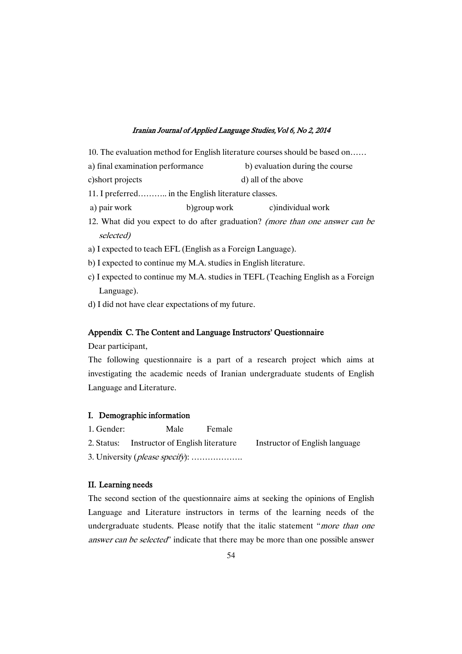- 10. The evaluation method for English literature courses should be based on……
- a) final examination performance b) evaluation during the course
- c)short projects d) all of the above
- 11. I preferred……….. in the English literature classes.
- a) pair work b)group work c)individual work
- 12. What did you expect to do after graduation? (more than one answer can be selected)
- a) I expected to teach EFL (English as a Foreign Language).
- b) I expected to continue my M.A. studies in English literature.
- c) I expected to continue my M.A. studies in TEFL (Teaching English as a Foreign Language).
- d) I did not have clear expectations of my future.

#### Appendix C. The Content and Language Instructors' Questionnaire

Dear participant,

The following questionnaire is a part of a research project which aims at investigating the academic needs of Iranian undergraduate students of English Language and Literature.

## I. Demographic information

1. Gender: Male Female

2. Status: Instructor of English literature Instructor of English language

3. University (please specify): ……………….

## II. Learning needs

The second section of the questionnaire aims at seeking the opinions of English Language and Literature instructors in terms of the learning needs of the undergraduate students. Please notify that the italic statement "more than one answer can be selected" indicate that there may be more than one possible answer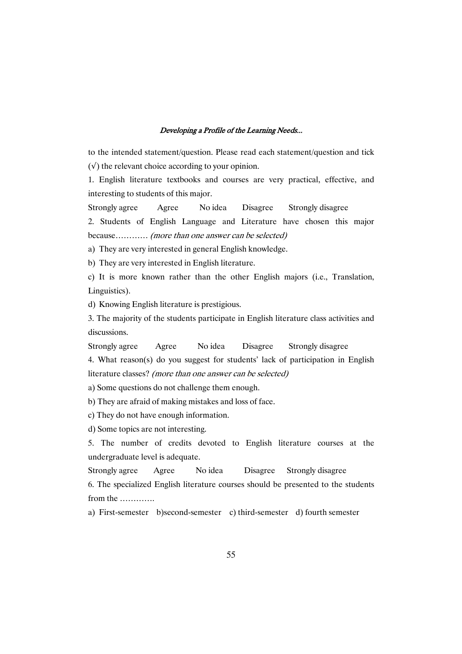to the intended statement/question. Please read each statement/question and tick  $(v)$  the relevant choice according to your opinion.

1. English literature textbooks and courses are very practical, effective, and interesting to students of this major.

Strongly agree Agree No idea Disagree Strongly disagree

2. Students of English Language and Literature have chosen this major because………… (more than one answer can be selected)

a) They are very interested in general English knowledge.

b) They are very interested in English literature.

c) It is more known rather than the other English majors (i.e., Translation, Linguistics).

d) Knowing English literature is prestigious.

3. The majority of the students participate in English literature class activities and discussions.

Strongly agree Agree No idea Disagree Strongly disagree

4. What reason(s) do you suggest for students' lack of participation in English literature classes? (more than one answer can be selected)

a) Some questions do not challenge them enough.

b) They are afraid of making mistakes and loss of face.

c) They do not have enough information.

d) Some topics are not interesting.

5. The number of credits devoted to English literature courses at the undergraduate level is adequate.

Strongly agree Agree No idea Disagree Strongly disagree

6. The specialized English literature courses should be presented to the students from the ………….

a) First-semester b)second-semester c) third-semester d) fourth semester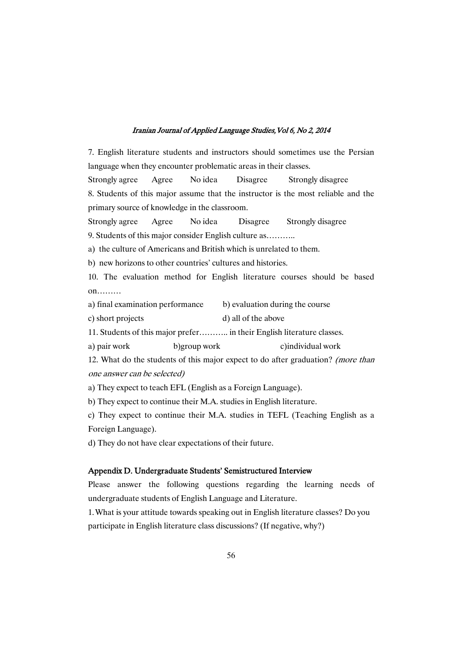7. English literature students and instructors should sometimes use the Persian language when they encounter problematic areas in their classes. Strongly agree Agree No idea Disagree Strongly disagree 8. Students of this major assume that the instructor is the most reliable and the primary source of knowledge in the classroom.

Strongly agree Agree No idea Disagree Strongly disagree

9. Students of this major consider English culture as………..

a) the culture of Americans and British which is unrelated to them.

b) new horizons to other countries' cultures and histories.

10. The evaluation method for English literature courses should be based on………

a) final examination performance b) evaluation during the course

c) short projects d) all of the above

11. Students of this major prefer……….. in their English literature classes.

a) pair work b)group work c)individual work

12. What do the students of this major expect to do after graduation? (more than one answer can be selected)

a) They expect to teach EFL (English as a Foreign Language).

b) They expect to continue their M.A. studies in English literature.

c) They expect to continue their M.A. studies in TEFL (Teaching English as a Foreign Language).

d) They do not have clear expectations of their future.

#### Appendix D. Undergraduate Students' Semistructured Interview

Please answer the following questions regarding the learning needs of undergraduate students of English Language and Literature.

1.What is your attitude towards speaking out in English literature classes? Do you participate in English literature class discussions? (If negative, why?)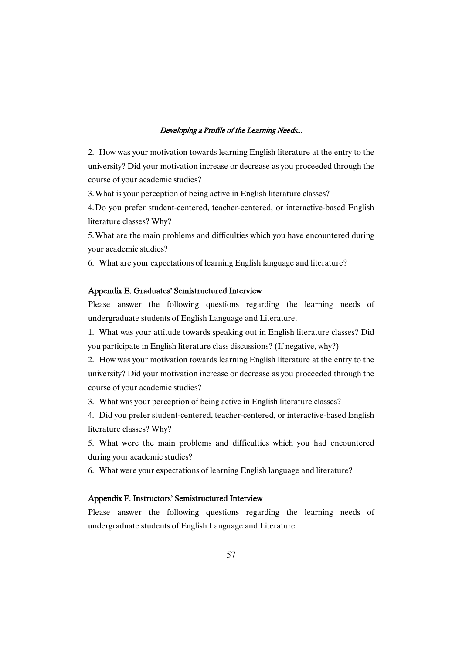2. How was your motivation towards learning English literature at the entry to the university? Did your motivation increase or decrease as you proceeded through the course of your academic studies?

3.What is your perception of being active in English literature classes?

4.Do you prefer student-centered, teacher-centered, or interactive-based English literature classes? Why?

5.What are the main problems and difficulties which you have encountered during your academic studies?

6. What are your expectations of learning English language and literature?

### Appendix E. Graduates' Semistructured Interview

Please answer the following questions regarding the learning needs of undergraduate students of English Language and Literature.

1. What was your attitude towards speaking out in English literature classes? Did you participate in English literature class discussions? (If negative, why?)

2. How was your motivation towards learning English literature at the entry to the university? Did your motivation increase or decrease as you proceeded through the course of your academic studies?

3. What was your perception of being active in English literature classes?

4. Did you prefer student-centered, teacher-centered, or interactive-based English literature classes? Why?

5. What were the main problems and difficulties which you had encountered during your academic studies?

6. What were your expectations of learning English language and literature?

## Appendix F. Instructors' Semistructured Interview

Please answer the following questions regarding the learning needs of undergraduate students of English Language and Literature.